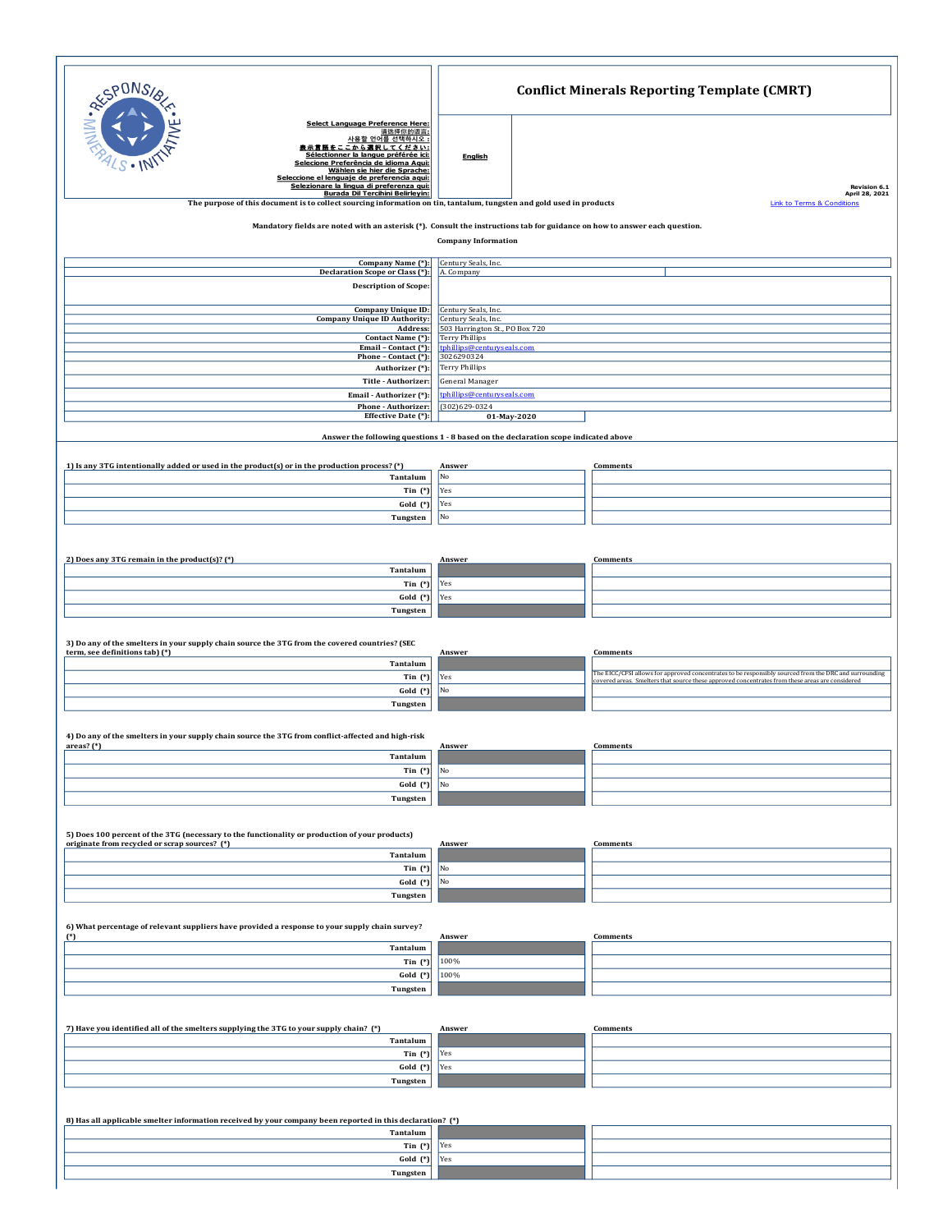| RESPONSI                                                                                                                                                                                                                                                                                                                                                                                                                                                      | <b>Conflict Minerals Reporting Template (CMRT)</b>                                                             |  |                                                                                                                                                                                                          |  |  |  |  |  |  |  |
|---------------------------------------------------------------------------------------------------------------------------------------------------------------------------------------------------------------------------------------------------------------------------------------------------------------------------------------------------------------------------------------------------------------------------------------------------------------|----------------------------------------------------------------------------------------------------------------|--|----------------------------------------------------------------------------------------------------------------------------------------------------------------------------------------------------------|--|--|--|--|--|--|--|
| Select Language Preference Here:<br>请选择你的语言:<br>사용할 언어를 선택하시오 :<br>表示言語をここから選択してください:<br>Sélectionner la langue préférée ici:<br>Selecione Preferência de idioma Aqui:<br>Wählen sie hier die Sprache:<br>Seleccione el lenguaje de preferencia agui:<br>Selezionare la lingua di preferenza qui:<br>Burada Dil Tercihini Belirleyin:<br>The purpose of this document is to collect sourcing information on tin, tantalum, tungsten and gold used in products | <b>English</b>                                                                                                 |  | Revision 6.1<br>April 28, 2021<br><b>Link to Terms &amp; Conditions</b>                                                                                                                                  |  |  |  |  |  |  |  |
| Mandatory fields are noted with an asterisk (*). Consult the instructions tab for guidance on how to answer each question.                                                                                                                                                                                                                                                                                                                                    | <b>Company Information</b>                                                                                     |  |                                                                                                                                                                                                          |  |  |  |  |  |  |  |
| Company Name (*):<br>Declaration Scope or Class (*):<br><b>Description of Scope:</b>                                                                                                                                                                                                                                                                                                                                                                          | Century Seals, Inc.<br>A. Company                                                                              |  |                                                                                                                                                                                                          |  |  |  |  |  |  |  |
| <b>Company Unique ID:</b><br><b>Company Unique ID Authority:</b>                                                                                                                                                                                                                                                                                                                                                                                              | Century Seals, Inc.<br>Century Seals, Inc.                                                                     |  |                                                                                                                                                                                                          |  |  |  |  |  |  |  |
| Address:<br>Contact Name (*):<br>Email - Contact (*):<br>Phone - Contact (*):<br>Authorizer (*):                                                                                                                                                                                                                                                                                                                                                              | 503 Harrington St., PO Box 720<br>Terry Phillips<br>tphillips@centuryseals.com<br>3026290324<br>Terry Phillips |  |                                                                                                                                                                                                          |  |  |  |  |  |  |  |
| Title - Authorizer:<br>Email - Authorizer (*):<br>Phone - Authorizer:                                                                                                                                                                                                                                                                                                                                                                                         | General Manager<br>tphillips@centuryseals.com<br>$(302)629-0324$                                               |  |                                                                                                                                                                                                          |  |  |  |  |  |  |  |
| Effective Date (*):<br>01-May-2020<br>Answer the following questions 1 - 8 based on the declaration scope indicated above                                                                                                                                                                                                                                                                                                                                     |                                                                                                                |  |                                                                                                                                                                                                          |  |  |  |  |  |  |  |
| 1) Is any 3TG intentionally added or used in the product(s) or in the production process? (*)<br>Tantalum<br>Tin $(*)$<br>Gold (*)                                                                                                                                                                                                                                                                                                                            | Answer<br>No<br>Yes<br>Yes                                                                                     |  | Comments                                                                                                                                                                                                 |  |  |  |  |  |  |  |
| Tungsten                                                                                                                                                                                                                                                                                                                                                                                                                                                      | No                                                                                                             |  |                                                                                                                                                                                                          |  |  |  |  |  |  |  |
| 2) Does any 3TG remain in the product(s)? $(*)$<br>Tantalum                                                                                                                                                                                                                                                                                                                                                                                                   | Answer                                                                                                         |  | Comments                                                                                                                                                                                                 |  |  |  |  |  |  |  |
| Tin $(*)$                                                                                                                                                                                                                                                                                                                                                                                                                                                     | Yes                                                                                                            |  |                                                                                                                                                                                                          |  |  |  |  |  |  |  |
| Gold (*)<br>Tungsten                                                                                                                                                                                                                                                                                                                                                                                                                                          | Yes                                                                                                            |  |                                                                                                                                                                                                          |  |  |  |  |  |  |  |
| 3) Do any of the smelters in your supply chain source the 3TG from the covered countries? (SEC                                                                                                                                                                                                                                                                                                                                                                |                                                                                                                |  |                                                                                                                                                                                                          |  |  |  |  |  |  |  |
| term, see definitions tab) (*)<br>Tantalum                                                                                                                                                                                                                                                                                                                                                                                                                    | Answer                                                                                                         |  | Comments                                                                                                                                                                                                 |  |  |  |  |  |  |  |
| Tin $(*)$<br>Gold (*)                                                                                                                                                                                                                                                                                                                                                                                                                                         | Yes<br>No                                                                                                      |  | The EICC/CFSI allows for approved concentrates to be responsibly sourced from the DRC and surrounding<br>covered areas. Smelters that source these approved concentrates from these areas are considered |  |  |  |  |  |  |  |
| Tungsten                                                                                                                                                                                                                                                                                                                                                                                                                                                      |                                                                                                                |  |                                                                                                                                                                                                          |  |  |  |  |  |  |  |
| 4) Do any of the smelters in your supply chain source the 3TG from conflict-affected and high-risk                                                                                                                                                                                                                                                                                                                                                            |                                                                                                                |  |                                                                                                                                                                                                          |  |  |  |  |  |  |  |
| areas? $(*)$<br>Tantalum                                                                                                                                                                                                                                                                                                                                                                                                                                      | Answer                                                                                                         |  | Comments                                                                                                                                                                                                 |  |  |  |  |  |  |  |
| Tin $(*)$<br>Gold (*)                                                                                                                                                                                                                                                                                                                                                                                                                                         | No<br>No                                                                                                       |  |                                                                                                                                                                                                          |  |  |  |  |  |  |  |
| Tungsten                                                                                                                                                                                                                                                                                                                                                                                                                                                      |                                                                                                                |  |                                                                                                                                                                                                          |  |  |  |  |  |  |  |
|                                                                                                                                                                                                                                                                                                                                                                                                                                                               |                                                                                                                |  |                                                                                                                                                                                                          |  |  |  |  |  |  |  |
| 5) Does 100 percent of the 3TG (necessary to the functionality or production of your products)<br>originate from recycled or scrap sources? (*)<br>Tantalum                                                                                                                                                                                                                                                                                                   | Answer                                                                                                         |  | Comments                                                                                                                                                                                                 |  |  |  |  |  |  |  |
| Tin $(*)$                                                                                                                                                                                                                                                                                                                                                                                                                                                     | No                                                                                                             |  |                                                                                                                                                                                                          |  |  |  |  |  |  |  |
| Gold (*)<br>Tungsten                                                                                                                                                                                                                                                                                                                                                                                                                                          | No                                                                                                             |  |                                                                                                                                                                                                          |  |  |  |  |  |  |  |
| 6) What percentage of relevant suppliers have provided a response to your supply chain survey?                                                                                                                                                                                                                                                                                                                                                                |                                                                                                                |  |                                                                                                                                                                                                          |  |  |  |  |  |  |  |
| $(*)$<br>Tantalum                                                                                                                                                                                                                                                                                                                                                                                                                                             | Answer                                                                                                         |  | Comments                                                                                                                                                                                                 |  |  |  |  |  |  |  |
| Tin $(*)$<br>Gold (*)                                                                                                                                                                                                                                                                                                                                                                                                                                         | 100%<br>100%                                                                                                   |  |                                                                                                                                                                                                          |  |  |  |  |  |  |  |
| Tungsten                                                                                                                                                                                                                                                                                                                                                                                                                                                      |                                                                                                                |  |                                                                                                                                                                                                          |  |  |  |  |  |  |  |
|                                                                                                                                                                                                                                                                                                                                                                                                                                                               |                                                                                                                |  |                                                                                                                                                                                                          |  |  |  |  |  |  |  |
| 7) Have you identified all of the smelters supplying the 3TG to your supply chain? (*)<br>Tantalum                                                                                                                                                                                                                                                                                                                                                            | Answer                                                                                                         |  | Comments                                                                                                                                                                                                 |  |  |  |  |  |  |  |
| Tin $(*)$                                                                                                                                                                                                                                                                                                                                                                                                                                                     | Yes                                                                                                            |  |                                                                                                                                                                                                          |  |  |  |  |  |  |  |
| Gold (*)<br>Tungsten                                                                                                                                                                                                                                                                                                                                                                                                                                          | Yes                                                                                                            |  |                                                                                                                                                                                                          |  |  |  |  |  |  |  |
|                                                                                                                                                                                                                                                                                                                                                                                                                                                               |                                                                                                                |  |                                                                                                                                                                                                          |  |  |  |  |  |  |  |
| 8) Has all applicable smelter information received by your company been reported in this declaration? (*)                                                                                                                                                                                                                                                                                                                                                     |                                                                                                                |  |                                                                                                                                                                                                          |  |  |  |  |  |  |  |
| Tantalum<br>Tin $(*)$                                                                                                                                                                                                                                                                                                                                                                                                                                         | Yes                                                                                                            |  |                                                                                                                                                                                                          |  |  |  |  |  |  |  |
| Gold (*)                                                                                                                                                                                                                                                                                                                                                                                                                                                      | Yes                                                                                                            |  |                                                                                                                                                                                                          |  |  |  |  |  |  |  |
| Tungsten                                                                                                                                                                                                                                                                                                                                                                                                                                                      |                                                                                                                |  |                                                                                                                                                                                                          |  |  |  |  |  |  |  |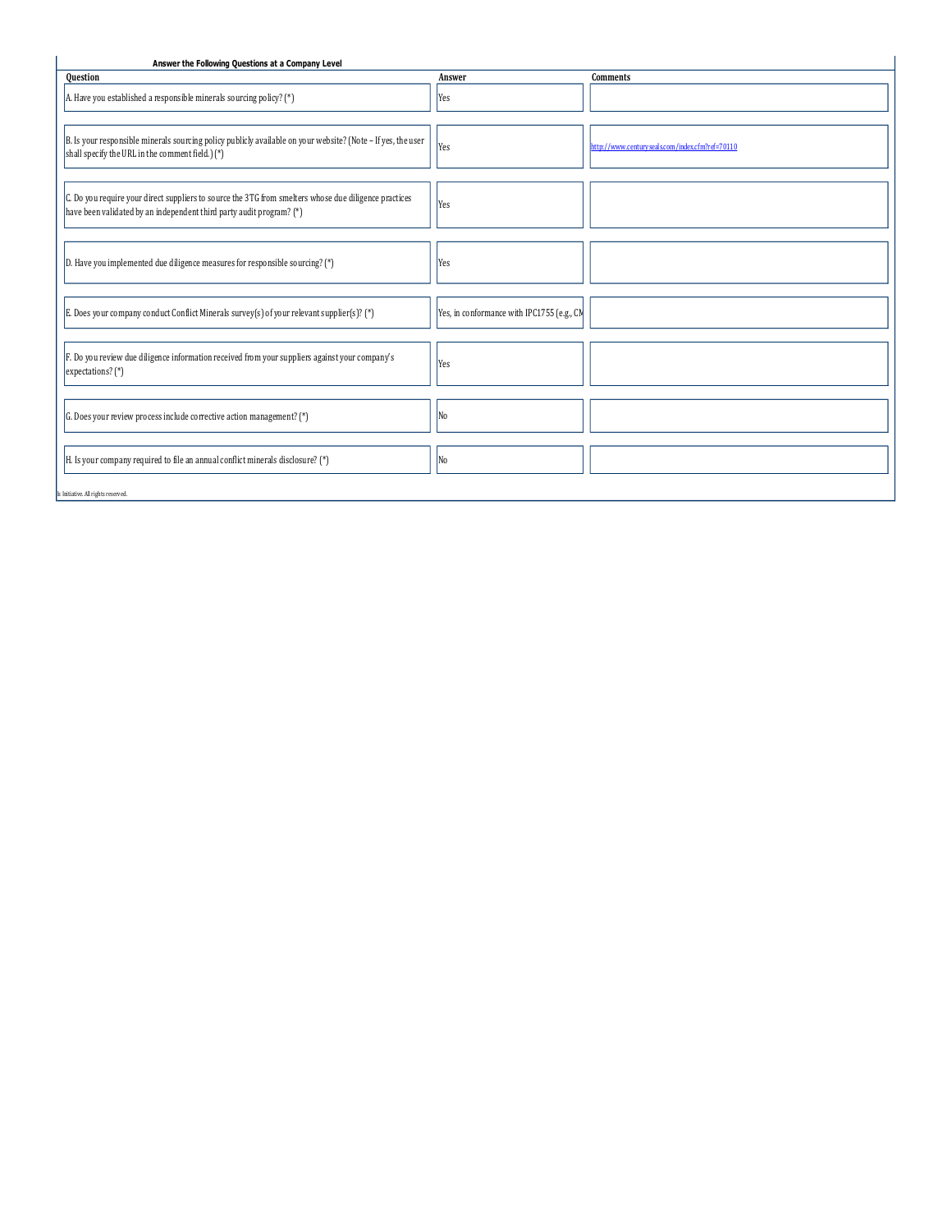| <b>Question</b>                                                                                                                                                               | Answer                                     | Comments                                        |
|-------------------------------------------------------------------------------------------------------------------------------------------------------------------------------|--------------------------------------------|-------------------------------------------------|
| A. Have you established a responsible minerals sourcing policy? (*)                                                                                                           | Yes                                        |                                                 |
| B. Is your responsible minerals sourcing policy publicly available on your website? (Note - If yes, the user<br>shall specify the URL in the comment field.) (*)              | Yes                                        | http://www.centuryseals.com/index.cfm?ref=70110 |
| C. Do you require your direct suppliers to source the 3TG from smelters whose due diligence practices<br>have been validated by an independent third party audit program? (*) | Yes                                        |                                                 |
| $ D.$ Have you implemented due diligence measures for responsible sourcing? (*)                                                                                               | Yes                                        |                                                 |
| E. Does your company conduct Conflict Minerals survey(s) of your relevant supplier(s)? (*)                                                                                    | Yes, in conformance with IPC1755 (e.g., CM |                                                 |
| F. Do you review due diligence information received from your suppliers against your company's<br>expectations? (*)                                                           | Yes                                        |                                                 |
| G. Does your review process include corrective action management? $(*)$                                                                                                       | No                                         |                                                 |
| H. Is your company required to file an annual conflict minerals disclosure? $(*)$                                                                                             | No                                         |                                                 |